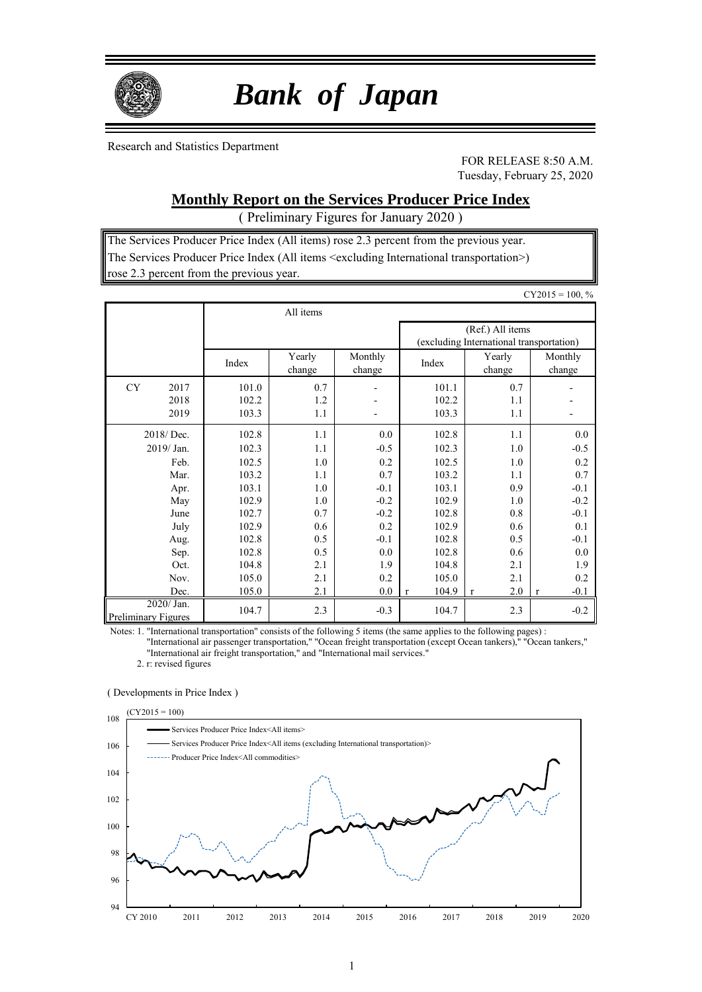

# *Bank of Japan*

Research and Statistics Department

FOR RELEASE 8:50 A.M. Tuesday, February 25, 2020

### **Monthly Report on the Services Producer Price Index**

( Preliminary Figures for January 2020 )

The Services Producer Price Index (All items) rose 2.3 percent from the previous year. The Services Producer Price Index (All items <excluding International transportation>) rose 2.3 percent from the previous year.

|                                          |       |                  |                   |                                                              |                    | $CY2015 = 100, %$ |  |
|------------------------------------------|-------|------------------|-------------------|--------------------------------------------------------------|--------------------|-------------------|--|
|                                          |       | All items        |                   |                                                              |                    |                   |  |
|                                          |       |                  |                   | (Ref.) All items<br>(excluding International transportation) |                    |                   |  |
|                                          | Index | Yearly<br>change | Monthly<br>change | Index                                                        | Yearly<br>change   | Monthly<br>change |  |
| <b>CY</b><br>2017                        | 101.0 | 0.7              | -                 | 101.1                                                        | 0.7                |                   |  |
| 2018                                     | 102.2 | 1.2              |                   | 102.2                                                        | 1.1                |                   |  |
| 2019                                     | 103.3 | 1.1              |                   | 103.3                                                        | 1.1                |                   |  |
| 2018/Dec.                                | 102.8 | 1.1              | 0.0               | 102.8                                                        | 1.1                | 0.0               |  |
| 2019/Jan.                                | 102.3 | 1.1              | $-0.5$            | 102.3                                                        | 1.0                | $-0.5$            |  |
| Feb.                                     | 102.5 | 1.0              | 0.2               | 102.5                                                        | 1.0                | 0.2               |  |
| Mar.                                     | 103.2 | 1.1              | 0.7               | 103.2                                                        | 1.1                | 0.7               |  |
| Apr.                                     | 103.1 | 1.0              | $-0.1$            | 103.1                                                        | 0.9                | $-0.1$            |  |
| May                                      | 102.9 | 1.0              | $-0.2$            | 102.9                                                        | 1.0                | $-0.2$            |  |
| June                                     | 102.7 | 0.7              | $-0.2$            | 102.8                                                        | 0.8                | $-0.1$            |  |
| July                                     | 102.9 | 0.6              | 0.2               | 102.9                                                        | 0.6                | 0.1               |  |
| Aug.                                     | 102.8 | 0.5              | $-0.1$            | 102.8                                                        | 0.5                | $-0.1$            |  |
| Sep.                                     | 102.8 | 0.5              | 0.0               | 102.8                                                        | 0.6                | 0.0               |  |
| Oct.                                     | 104.8 | 2.1              | 1.9               | 104.8                                                        | 2.1                | 1.9               |  |
| Nov.                                     | 105.0 | 2.1              | 0.2               | 105.0                                                        | 2.1                | 0.2               |  |
| Dec.                                     | 105.0 | 2.1              | 0.0               | 104.9<br>$\mathbf{r}$                                        | 2.0<br>$\mathbf r$ | $-0.1$<br>$\bf r$ |  |
| 2020/ Jan.<br><b>Preliminary Figures</b> | 104.7 | 2.3              | $-0.3$            | 104.7                                                        | 2.3                | $-0.2$            |  |

Notes: 1. "International transportation" consists of the following 5 items (the same applies to the following pages) :

"International air passenger transportation," "Ocean freight transportation (except Ocean tankers)," "Ocean tankers," "International air freight transportation," and "International mail services."

2. r: revised figures

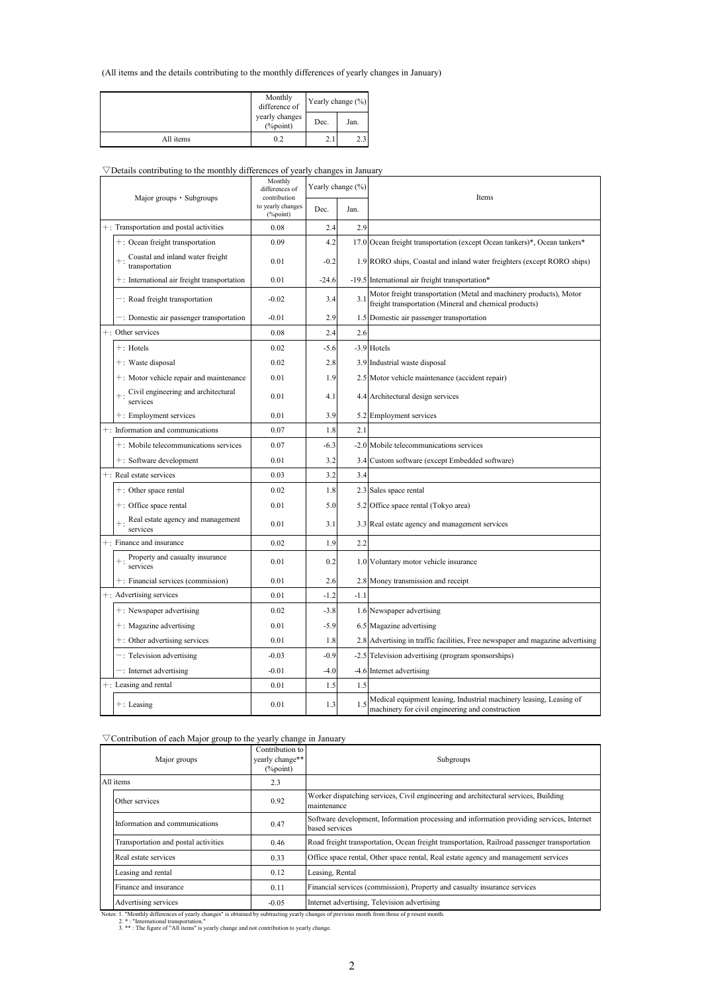#### (All items and the details contributing to the monthly differences of yearly changes in January)

|           | Monthly<br>difference of       | Yearly change (%) |      |  |
|-----------|--------------------------------|-------------------|------|--|
|           | yearly changes<br>$(\%$ point) | Dec.              | Jan. |  |
| All items | 0.2                            | 2.1               | 2.3  |  |

### $\nabla$ Details contributing to the monthly differences of yearly changes in January

| Major groups · Subgroups                              | Monthly<br>differences of<br>contribution | Yearly change (%) |        | Items                                                                                                                        |
|-------------------------------------------------------|-------------------------------------------|-------------------|--------|------------------------------------------------------------------------------------------------------------------------------|
|                                                       | to yearly changes<br>(%point)             | Dec.              | Jan.   |                                                                                                                              |
| +: Transportation and postal activities               | 0.08                                      | 2.4               | 2.9    |                                                                                                                              |
| +: Ocean freight transportation                       | 0.09                                      | 4.2               |        | 17.0 Ocean freight transportation (except Ocean tankers)*, Ocean tankers*                                                    |
| Coastal and inland water freight<br>transportation    | 0.01                                      | $-0.2$            |        | 1.9 RORO ships, Coastal and inland water freighters (except RORO ships)                                                      |
| $+$ : International air freight transportation        | 0.01                                      | $-24.6$           |        | -19.5 International air freight transportation*                                                                              |
| -: Road freight transportation                        | $-0.02$                                   | 3.4               | 3.1    | Motor freight transportation (Metal and machinery products), Motor<br>freight transportation (Mineral and chemical products) |
| -: Domestic air passenger transportation              | $-0.01$                                   | 2.9               |        | 1.5 Domestic air passenger transportation                                                                                    |
| +: Other services                                     | 0.08                                      | 2.4               | 2.6    |                                                                                                                              |
| $+$ : Hotels                                          | 0.02                                      | $-5.6$            |        | -3.9 Hotels                                                                                                                  |
| +: Waste disposal                                     | 0.02                                      | 2.8               |        | 3.9 Industrial waste disposal                                                                                                |
| $+$ : Motor vehicle repair and maintenance            | 0.01                                      | 1.9               |        | 2.5 Motor vehicle maintenance (accident repair)                                                                              |
| $+$ : Civil engineering and architectural<br>services | 0.01                                      | 4.1               |        | 4.4 Architectural design services                                                                                            |
| +: Employment services                                | 0.01                                      | 3.9               |        | 5.2 Employment services                                                                                                      |
| +: Information and communications                     | 0.07                                      | 1.8               | 2.1    |                                                                                                                              |
| +: Mobile telecommunications services                 | 0.07                                      | $-6.3$            |        | -2.0 Mobile telecommunications services                                                                                      |
| +: Software development                               | 0.01                                      | 3.2               |        | 3.4 Custom software (except Embedded software)                                                                               |
| +: Real estate services                               | 0.03                                      | 3.2               | 3.4    |                                                                                                                              |
| $+$ : Other space rental                              | 0.02                                      | 1.8               |        | 2.3 Sales space rental                                                                                                       |
| +: Office space rental                                | 0.01                                      | 5.0               |        | 5.2 Office space rental (Tokyo area)                                                                                         |
| Real estate agency and management<br>services         | 0.01                                      | 3.1               |        | 3.3 Real estate agency and management services                                                                               |
| +: Finance and insurance                              | 0.02                                      | 1.9               | 2.2    |                                                                                                                              |
| $+$ : Property and casualty insurance<br>services     | 0.01                                      | 0.2               |        | 1.0 Voluntary motor vehicle insurance                                                                                        |
| +: Financial services (commission)                    | 0.01                                      | 2.6               |        | 2.8 Money transmission and receipt                                                                                           |
| +: Advertising services                               | 0.01                                      | $-1.2$            | $-1.1$ |                                                                                                                              |
| $+$ : Newspaper advertising                           | 0.02                                      | $-3.8$            |        | 1.6 Newspaper advertising                                                                                                    |
| $+$ : Magazine advertising                            | 0.01                                      | $-5.9$            |        | 6.5 Magazine advertising                                                                                                     |
| +: Other advertising services                         | 0.01                                      | 1.8               |        | 2.8 Advertising in traffic facilities, Free newspaper and magazine advertising                                               |
| $-$ : Television advertising                          | $-0.03$                                   | $-0.9$            |        | -2.5 Television advertising (program sponsorships)                                                                           |
| -: Internet advertising                               | $-0.01$                                   | $-4.0$            |        | -4.6 Internet advertising                                                                                                    |
| +: Leasing and rental                                 | 0.01                                      | 1.5               | 1.5    |                                                                                                                              |
| $+$ : Leasing                                         | 0.01                                      | 1.3               | 1.5    | Medical equipment leasing, Industrial machinery leasing, Leasing of<br>machinery for civil engineering and construction      |

### $\nabla$  Contribution of each Major group to the yearly change in January

| Major groups                         | Contribution to<br>yearly change**<br>$(\%$ point) | Subgroups                                                                                                                          |
|--------------------------------------|----------------------------------------------------|------------------------------------------------------------------------------------------------------------------------------------|
| All items                            | 2.3                                                |                                                                                                                                    |
| Other services                       | 0.92                                               | Worker dispatching services, Civil engineering and architectural services, Building<br>maintenance                                 |
| Information and communications       | 0.47                                               | Software development, Information processing and information providing services, Internet<br>based services                        |
| Transportation and postal activities | 0.46                                               | Road freight transportation, Ocean freight transportation, Railroad passenger transportation                                       |
| Real estate services                 | 0.33                                               | Office space rental, Other space rental, Real estate agency and management services                                                |
| Leasing and rental                   | 0.12                                               | Leasing, Rental                                                                                                                    |
| Finance and insurance                | 0.11                                               | Financial services (commission), Property and casualty insurance services                                                          |
| Advertising services                 | $-0.05$                                            | Internet advertising, Television advertising                                                                                       |
|                                      |                                                    | Mature 1, "Manthly difference of moder demons! in checked by subtractive moder changes of moviem model from these of a norme model |

Notes: 1. "Monthly differences of yearly changes" is obtained by subtracting yearly changes of previous month from those of p resent month.<br>2. \* : "International transportation."<br>3. \* \* : The figure of "All items" is yearl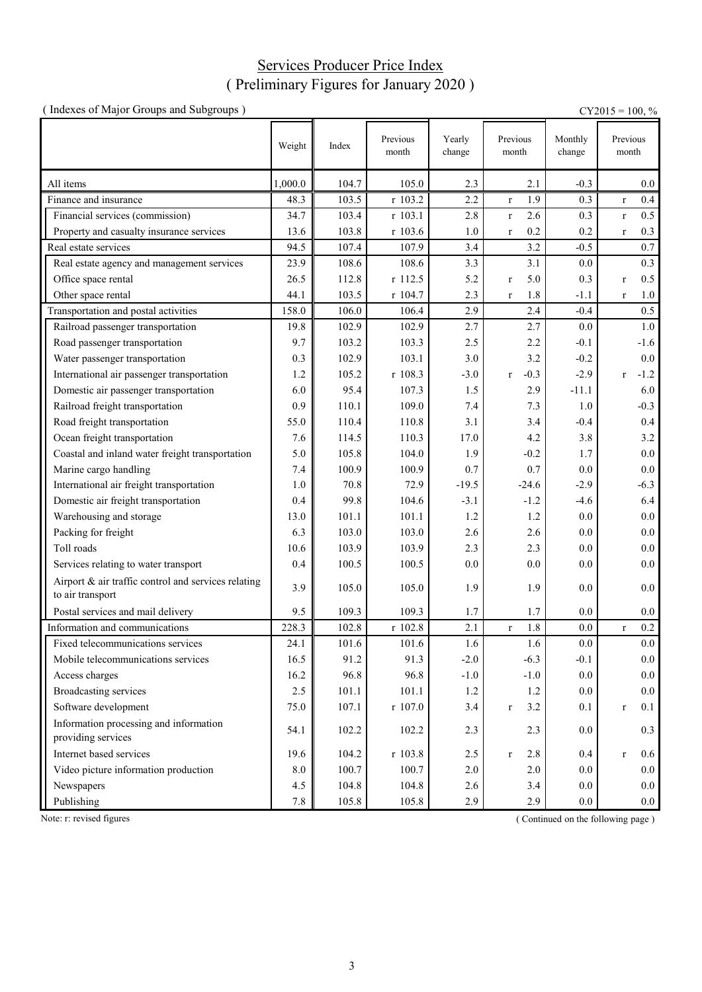### Services Producer Price Index ( Preliminary Figures for January 2020 )

| (Indexes of Major Groups and Subgroups)                                 |         |       |                   |                  |                        |                   | $CY2015 = 100, %$      |
|-------------------------------------------------------------------------|---------|-------|-------------------|------------------|------------------------|-------------------|------------------------|
|                                                                         | Weight  | Index | Previous<br>month | Yearly<br>change | Previous<br>month      | Monthly<br>change | Previous<br>month      |
| All items                                                               | 1,000.0 | 104.7 | 105.0             | 2.3              | 2.1                    | $-0.3$            | $0.0\,$                |
| Finance and insurance                                                   | 48.3    | 103.5 | r 103.2           | 2.2              | 1.9<br>$\mathbf{r}$    | 0.3               | 0.4<br>$\mathbf r$     |
| Financial services (commission)                                         | 34.7    | 103.4 | r 103.1           | 2.8              | 2.6<br>$\mathbf r$     | 0.3               | 0.5<br>$\mathbf r$     |
| Property and casualty insurance services                                | 13.6    | 103.8 | r 103.6           | 1.0              | 0.2<br>$\mathbf{r}$    | 0.2               | 0.3<br>$\mathbf r$     |
| Real estate services                                                    | 94.5    | 107.4 | 107.9             | 3.4              | 3.2                    | $-0.5$            | 0.7                    |
| Real estate agency and management services                              | 23.9    | 108.6 | 108.6             | 3.3              | 3.1                    | 0.0               | 0.3                    |
| Office space rental                                                     | 26.5    | 112.8 | r 112.5           | 5.2              | 5.0<br>$\mathbf{r}$    | 0.3               | 0.5<br>$\mathbf r$     |
| Other space rental                                                      | 44.1    | 103.5 | r 104.7           | 2.3              | 1.8<br>$\mathbf{r}$    | $-1.1$            | 1.0<br>$\mathbf r$     |
| Transportation and postal activities                                    | 158.0   | 106.0 | 106.4             | 2.9              | 2.4                    | $-0.4$            | 0.5                    |
| Railroad passenger transportation                                       | 19.8    | 102.9 | 102.9             | 2.7              | 2.7                    | 0.0               | 1.0                    |
| Road passenger transportation                                           | 9.7     | 103.2 | 103.3             | 2.5              | 2.2                    | $-0.1$            | $-1.6$                 |
| Water passenger transportation                                          | 0.3     | 102.9 | 103.1             | 3.0              | 3.2                    | $-0.2$            | $0.0\,$                |
| International air passenger transportation                              | 1.2     | 105.2 | r 108.3           | $-3.0$           | $-0.3$<br>$\mathbf{r}$ | $-2.9$            | $-1.2$<br>$\mathbf{r}$ |
| Domestic air passenger transportation                                   | 6.0     | 95.4  | 107.3             | 1.5              | 2.9                    | $-11.1$           | 6.0                    |
| Railroad freight transportation                                         | 0.9     | 110.1 | 109.0             | 7.4              | 7.3                    | 1.0               | $-0.3$                 |
| Road freight transportation                                             | 55.0    | 110.4 | 110.8             | 3.1              | 3.4                    | $-0.4$            | 0.4                    |
| Ocean freight transportation                                            | 7.6     | 114.5 | 110.3             | 17.0             | 4.2                    | 3.8               | 3.2                    |
| Coastal and inland water freight transportation                         | 5.0     | 105.8 | 104.0             | 1.9              | $-0.2$                 | 1.7               | $0.0\,$                |
| Marine cargo handling                                                   | 7.4     | 100.9 | 100.9             | 0.7              | 0.7                    | 0.0               | $0.0\,$                |
| International air freight transportation                                | 1.0     | 70.8  | 72.9              | $-19.5$          | $-24.6$                | $-2.9$            | $-6.3$                 |
| Domestic air freight transportation                                     | 0.4     | 99.8  | 104.6             | $-3.1$           | $-1.2$                 | $-4.6$            | 6.4                    |
| Warehousing and storage                                                 | 13.0    | 101.1 | 101.1             | 1.2              | 1.2                    | 0.0               | $0.0\,$                |
| Packing for freight                                                     | 6.3     | 103.0 | 103.0             | 2.6              | 2.6                    | 0.0               | 0.0                    |
| Toll roads                                                              | 10.6    | 103.9 | 103.9             | 2.3              | 2.3                    | 0.0               | 0.0                    |
| Services relating to water transport                                    | 0.4     | 100.5 | 100.5             | 0.0              | 0.0                    | 0.0               | 0.0                    |
| Airport & air traffic control and services relating<br>to air transport | 3.9     | 105.0 | 105.0             | 1.9              | 1.9                    | 0.0               | 0.0                    |
| Postal services and mail delivery                                       | 9.5     | 109.3 | 109.3             | 1.7              | 1.7                    | 0.0               | 0.0                    |
| Information and communications                                          | 228.3   | 102.8 | r 102.8           | 2.1              | 1.8<br>$\mathbf{r}$    | 0.0               | $0.2\,$<br>$\mathbf r$ |
| Fixed telecommunications services                                       | 24.1    | 101.6 | 101.6             | 1.6              | 1.6                    | $0.0\,$           | $0.0\,$                |
| Mobile telecommunications services                                      | 16.5    | 91.2  | 91.3              | $-2.0$           | $-6.3$                 | $-0.1$            | 0.0                    |
| Access charges                                                          | 16.2    | 96.8  | 96.8              | $-1.0$           | $-1.0$                 | 0.0               | 0.0                    |
| <b>Broadcasting services</b>                                            | 2.5     | 101.1 | 101.1             | 1.2              | 1.2                    | 0.0               | 0.0                    |
| Software development                                                    | 75.0    | 107.1 | $r$ 107.0         | 3.4              | 3.2<br>$\mathbf{r}$    | 0.1               | 0.1<br>$\mathbf r$     |
| Information processing and information<br>providing services            | 54.1    | 102.2 | 102.2             | 2.3              | 2.3                    | 0.0               | 0.3                    |
| Internet based services                                                 | 19.6    | 104.2 | r 103.8           | 2.5              | 2.8<br>$\mathbf r$     | 0.4               | 0.6<br>$\mathbf r$     |
| Video picture information production                                    | 8.0     | 100.7 | 100.7             | 2.0              | 2.0                    | 0.0               | 0.0                    |
| Newspapers                                                              | 4.5     | 104.8 | 104.8             | 2.6              | 3.4                    | $0.0\,$           | 0.0                    |
| Publishing                                                              | $7.8\,$ | 105.8 | 105.8             | 2.9              | 2.9                    | 0.0               | 0.0                    |

Note: r: revised figures (Continued on the following page)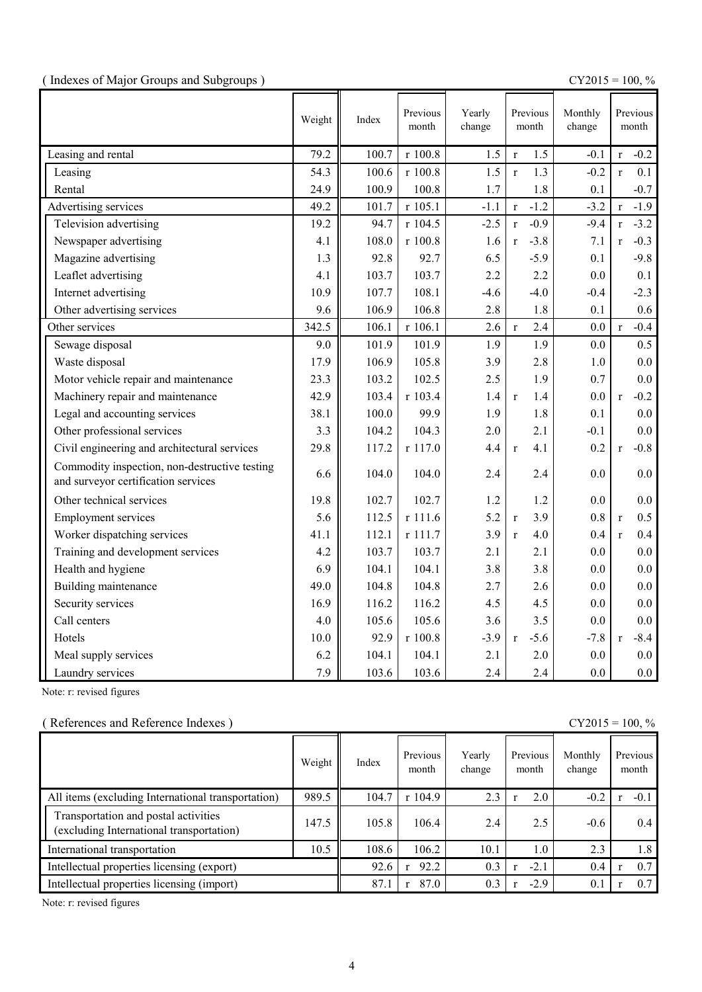|  |  | (Indexes of Major Groups and Subgroups) |  |
|--|--|-----------------------------------------|--|
|  |  |                                         |  |

(  $\text{CY2015} = 100, \%$ 

|                                                                                      | Weight | Index | Previous<br>month | Yearly<br>change | Previous<br>month      | Monthly<br>change | Previous<br>month      |
|--------------------------------------------------------------------------------------|--------|-------|-------------------|------------------|------------------------|-------------------|------------------------|
| Leasing and rental                                                                   | 79.2   | 100.7 | r 100.8           | 1.5              | 1.5<br>$\mathbf{r}$    | $-0.1$            | $-0.2$<br>$\mathbf{r}$ |
| Leasing                                                                              | 54.3   | 100.6 | r 100.8           | 1.5              | 1.3<br>$\mathbf{r}$    | $-0.2$            | 0.1<br>$\mathbf{r}$    |
| Rental                                                                               | 24.9   | 100.9 | 100.8             | 1.7              | 1.8                    | 0.1               | $-0.7$                 |
| Advertising services                                                                 | 49.2   | 101.7 | r 105.1           | $-1.1$           | $-1.2$<br>$\mathbf r$  | $-3.2$            | $-1.9$<br>$\mathbf r$  |
| Television advertising                                                               | 19.2   | 94.7  | r 104.5           | $-2.5$           | $-0.9$<br>$\mathbf{r}$ | $-9.4$            | $-3.2$<br>$\mathbf{r}$ |
| Newspaper advertising                                                                | 4.1    | 108.0 | r 100.8           | 1.6              | $-3.8$<br>$\mathbf{r}$ | 7.1               | $-0.3$<br>$\mathbf{r}$ |
| Magazine advertising                                                                 | 1.3    | 92.8  | 92.7              | 6.5              | $-5.9$                 | 0.1               | $-9.8$                 |
| Leaflet advertising                                                                  | 4.1    | 103.7 | 103.7             | 2.2              | 2.2                    | 0.0               | 0.1                    |
| Internet advertising                                                                 | 10.9   | 107.7 | 108.1             | $-4.6$           | $-4.0$                 | $-0.4$            | $-2.3$                 |
| Other advertising services                                                           | 9.6    | 106.9 | 106.8             | 2.8              | 1.8                    | 0.1               | 0.6                    |
| Other services                                                                       | 342.5  | 106.1 | r 106.1           | 2.6              | 2.4<br>$\mathbf{r}$    | 0.0               | $-0.4$<br>$\mathbf{r}$ |
| Sewage disposal                                                                      | 9.0    | 101.9 | 101.9             | 1.9              | 1.9                    | 0.0               | 0.5                    |
| Waste disposal                                                                       | 17.9   | 106.9 | 105.8             | 3.9              | 2.8                    | 1.0               | 0.0                    |
| Motor vehicle repair and maintenance                                                 | 23.3   | 103.2 | 102.5             | 2.5              | 1.9                    | 0.7               | 0.0                    |
| Machinery repair and maintenance                                                     | 42.9   | 103.4 | r 103.4           | 1.4              | 1.4<br>$\mathbf{r}$    | 0.0               | $-0.2$<br>$\mathbf{r}$ |
| Legal and accounting services                                                        | 38.1   | 100.0 | 99.9              | 1.9              | 1.8                    | 0.1               | 0.0                    |
| Other professional services                                                          | 3.3    | 104.2 | 104.3             | 2.0              | 2.1                    | $-0.1$            | 0.0                    |
| Civil engineering and architectural services                                         | 29.8   | 117.2 | r 117.0           | 4.4              | 4.1<br>$\mathbf{r}$    | 0.2               | $-0.8$<br>$\mathbf{r}$ |
| Commodity inspection, non-destructive testing<br>and surveyor certification services | 6.6    | 104.0 | 104.0             | 2.4              | 2.4                    | 0.0               | 0.0                    |
| Other technical services                                                             | 19.8   | 102.7 | 102.7             | 1.2              | 1.2                    | 0.0               | 0.0                    |
| <b>Employment services</b>                                                           | 5.6    | 112.5 | r 111.6           | 5.2              | 3.9<br>$\mathbf r$     | 0.8               | 0.5<br>$\mathbf{r}$    |
| Worker dispatching services                                                          | 41.1   | 112.1 | r 111.7           | 3.9              | 4.0<br>$\mathbf{r}$    | 0.4               | 0.4<br>$\mathbf{r}$    |
| Training and development services                                                    | 4.2    | 103.7 | 103.7             | 2.1              | 2.1                    | 0.0               | 0.0                    |
| Health and hygiene                                                                   | 6.9    | 104.1 | 104.1             | 3.8              | 3.8                    | 0.0               | 0.0                    |
| Building maintenance                                                                 | 49.0   | 104.8 | 104.8             | 2.7              | 2.6                    | 0.0               | 0.0                    |
| Security services                                                                    | 16.9   | 116.2 | 116.2             | 4.5              | 4.5                    | 0.0               | 0.0                    |
| Call centers                                                                         | 4.0    | 105.6 | 105.6             | 3.6              | 3.5                    | 0.0               | 0.0                    |
| Hotels                                                                               | 10.0   | 92.9  | r 100.8           | $-3.9$           | $-5.6$<br>$\mathbf{r}$ | $-7.8$            | $-8.4$<br>$\mathbf{r}$ |
| Meal supply services                                                                 | 6.2    | 104.1 | 104.1             | 2.1              | 2.0                    | 0.0               | 0.0                    |
| Laundry services                                                                     | 7.9    | 103.6 | 103.6             | 2.4              | 2.4                    | 0.0               | 0.0                    |

Note: r: revised figures

### ( References and Reference Indexes ) CY2015 = 100, %

|                                                                                  | Weight | Index | Previous<br>month | Yearly<br>change | Previous<br>month | Monthly<br>change | Previous<br>month |
|----------------------------------------------------------------------------------|--------|-------|-------------------|------------------|-------------------|-------------------|-------------------|
| All items (excluding International transportation)                               | 989.5  | 104.7 | r104.9            | 2.3              | 2.0               | $-0.2$            | $-0.1$            |
| Transportation and postal activities<br>(excluding International transportation) | 147.5  | 105.8 | 106.4             | 2.4              | 2.5               | $-0.6$            | 0.4               |
| International transportation                                                     | 10.5   | 108.6 | 106.2             | 10.1             | 1.0               | 2.3               | 1.8               |
| Intellectual properties licensing (export)                                       |        | 92.6  | 92.2              | 0.3              | $-2.1$            | 0.4               | 0.7               |
| Intellectual properties licensing (import)                                       |        | 87.1  | 87.0              | 0.3              | $-2.9$            | 0.1               | 0.7               |

Note: r: revised figures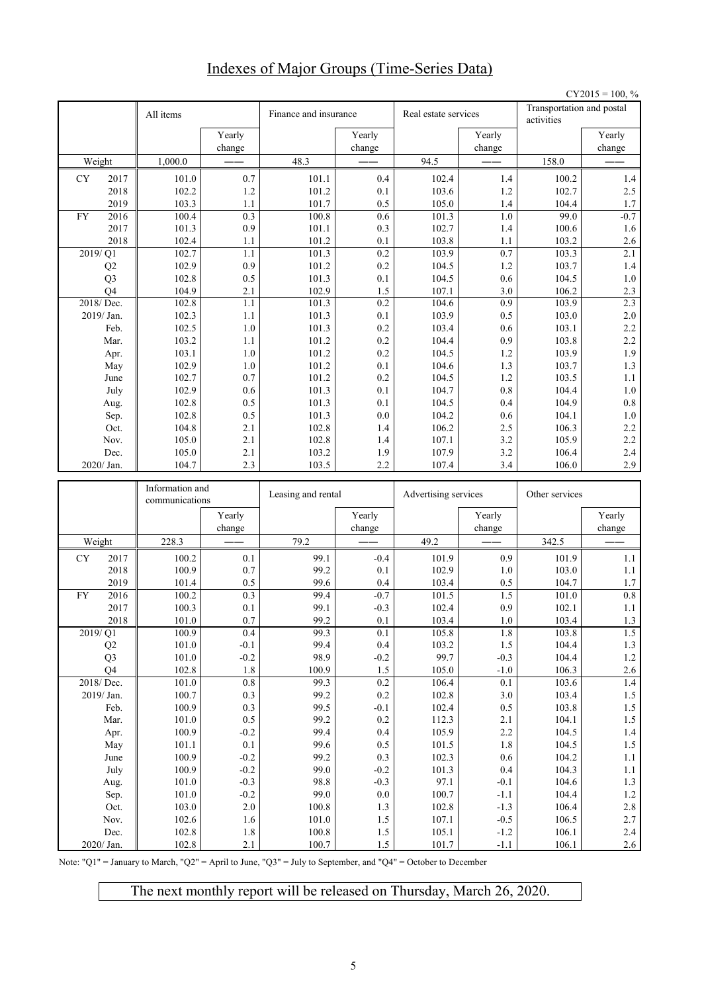# Indexes of Major Groups (Time-Series Data)

|           |                |                                   |                  |                       |                    |                      |                  |                                         | $CY2015 = 100, %$ |
|-----------|----------------|-----------------------------------|------------------|-----------------------|--------------------|----------------------|------------------|-----------------------------------------|-------------------|
|           |                | All items                         |                  | Finance and insurance |                    | Real estate services |                  | Transportation and postal<br>activities |                   |
|           |                |                                   | Yearly           |                       | Yearly             |                      | Yearly           |                                         | Yearly            |
|           |                |                                   | change           |                       | change             |                      | change           |                                         | change            |
|           | Weight         | 1,000.0                           |                  | 48.3                  |                    | 94.5                 |                  | 158.0                                   |                   |
| <b>CY</b> | 2017           | 101.0                             | 0.7              | 101.1                 | 0.4                | 102.4                | 1.4              | 100.2                                   | 1.4               |
|           | 2018           | 102.2                             | 1.2              | 101.2                 | 0.1                | 103.6                | 1.2              | 102.7                                   | 2.5               |
|           | 2019           | 103.3                             | 1.1              | 101.7                 | 0.5                | 105.0                | 1.4              | 104.4<br>99.0                           | 1.7               |
| FY        | 2016<br>2017   | 100.4<br>101.3                    | 0.3<br>0.9       | 100.8<br>101.1        | 0.6<br>0.3         | 101.3<br>102.7       | 1.0<br>1.4       | 100.6                                   | $-0.7$<br>1.6     |
|           | 2018           | 102.4                             | 1.1              | 101.2                 | 0.1                | 103.8                | 1.1              | 103.2                                   | 2.6               |
|           | 2019/Q1        | 102.7                             | 1.1              | 101.3                 | 0.2                | 103.9                | 0.7              | 103.3                                   | 2.1               |
|           | Q2             | 102.9                             | 0.9              | 101.2                 | 0.2                | 104.5                | 1.2              | 103.7                                   | $1.4$             |
|           | Q <sub>3</sub> | 102.8                             | 0.5              | 101.3                 | 0.1                | 104.5                | 0.6              | 104.5                                   | $1.0$             |
|           | Q <sub>4</sub> | 104.9                             | 2.1              | 102.9                 | 1.5                | 107.1                | 3.0              | 106.2                                   | $2.3\,$           |
|           | 2018/Dec.      | 102.8                             | 1.1              | 101.3                 | 0.2                | 104.6                | 0.9              | 103.9                                   | 2.3               |
|           | 2019/Jan.      | 102.3                             | 1.1              | 101.3                 | 0.1                | 103.9                | 0.5              | 103.0                                   | 2.0               |
|           | Feb.           | 102.5                             | $1.0\,$          | 101.3                 | 0.2                | 103.4                | 0.6              | 103.1                                   | 2.2               |
|           | Mar.           | 103.2                             | 1.1              | 101.2                 | 0.2                | 104.4                | 0.9              | 103.8                                   | 2.2               |
|           | Apr.           | 103.1                             | 1.0              | 101.2                 | 0.2                | 104.5                | 1.2              | 103.9                                   | 1.9               |
|           | May<br>June    | 102.9<br>102.7                    | 1.0<br>0.7       | 101.2<br>101.2        | 0.1<br>0.2         | 104.6<br>104.5       | 1.3<br>1.2       | 103.7<br>103.5                          | 1.3<br>1.1        |
|           | July           | 102.9                             | 0.6              | 101.3                 | 0.1                | 104.7                | 0.8              | 104.4                                   | $1.0\,$           |
|           | Aug.           | 102.8                             | 0.5              | 101.3                 | 0.1                | 104.5                | 0.4              | 104.9                                   | 0.8               |
|           | Sep.           | 102.8                             | 0.5              | 101.3                 | 0.0                | 104.2                | 0.6              | 104.1                                   | 1.0               |
|           | Oct.           | 104.8                             | 2.1              | 102.8                 | 1.4                | 106.2                | 2.5              | 106.3                                   | $2.2\,$           |
|           | Nov.           | 105.0                             | 2.1              | 102.8                 | 1.4                | 107.1                | 3.2              | 105.9                                   | 2.2               |
|           | Dec.           | 105.0                             | 2.1              | 103.2                 | 1.9                | 107.9                | 3.2              | 106.4                                   | 2.4               |
|           | 2020/ Jan.     | 104.7                             | 2.3              | 103.5                 | 2.2                | 107.4                | 3.4              | 106.0                                   | 2.9               |
|           |                |                                   |                  |                       |                    |                      |                  |                                         |                   |
|           |                | Information and<br>communications |                  | Leasing and rental    |                    | Advertising services |                  | Other services                          |                   |
|           |                |                                   | Yearly<br>change |                       | Yearly<br>change   |                      | Yearly<br>change |                                         | Yearly<br>change  |
|           | Weight         | 228.3                             |                  | 79.2                  |                    | 49.2                 |                  | 342.5                                   |                   |
| CY        | 2017           | 100.2                             | 0.1              | 99.1                  | $-0.4$             | 101.9                | 0.9              | 101.9                                   | 1.1               |
|           | 2018           | 100.9                             | 0.7              | 99.2                  |                    |                      |                  |                                         |                   |
|           | 2019           | 101.4                             |                  |                       |                    |                      |                  |                                         |                   |
| <b>FY</b> |                |                                   |                  | 99.6                  | 0.1<br>0.4         | 102.9                | 1.0              | 103.0                                   | 1.1               |
|           | 2016           | 100.2                             | 0.5<br>0.3       | 99.4                  | $-0.7$             | 103.4<br>101.5       | 0.5<br>1.5       | 104.7<br>101.0                          | 1.7<br>0.8        |
|           | 2017           | 100.3                             | 0.1              | 99.1                  | $-0.3$             | 102.4                | 0.9              | 102.1                                   | 1.1               |
|           | 2018           | 101.0                             | 0.7              | 99.2                  | $0.1\,$            | 103.4                | $1.0\,$          | 103.4                                   | $1.3\,$           |
|           | 2019/Q1        | 100.9                             | 0.4              | 99.3                  | 0.1                | 105.8                | $1.8\,$          | 103.8                                   | 1.5               |
|           | Q2             | $101.0\,$                         | $-0.1$           | 99.4                  | 0.4                | 103.2                | $1.5\,$          | 104.4                                   | 1.3               |
|           | Q <sub>3</sub> | $101.0\,$                         | $-0.2$           | 98.9                  | $-0.2$             | 99.7                 | $-0.3$           | 104.4                                   | $1.2\,$           |
|           | Q4             | 102.8                             | 1.8              | 100.9                 | $1.5\,$            | 105.0                | $-1.0$           | 106.3                                   | $2.6\,$           |
|           | 2018/Dec.      | 101.0                             | $0.8\,$          | 99.3                  | $\overline{0.2}$   | 106.4                | 0.1              | 103.6                                   | $1.4\,$           |
|           | 2019/Jan.      | 100.7                             | 0.3              | 99.2                  | 0.2                | 102.8                | 3.0              | 103.4                                   | $1.5\,$           |
|           | Feb.           | 100.9                             | 0.3              | 99.5                  | $-0.1$             | 102.4                | 0.5              | 103.8                                   | 1.5               |
|           | Mar.           | 101.0<br>100.9                    | 0.5<br>$-0.2$    | 99.2<br>99.4          | $0.2\,$<br>0.4     | 112.3<br>105.9       | 2.1<br>2.2       | 104.1<br>104.5                          | $1.5\,$<br>1.4    |
|           | Apr.<br>May    | 101.1                             | 0.1              | 99.6                  | $0.5\,$            | 101.5                | 1.8              | 104.5                                   | 1.5               |
|           | June           | 100.9                             | $-0.2$           | 99.2                  | 0.3                | 102.3                | $0.6\,$          | 104.2                                   | 1.1               |
|           | July           | 100.9                             | $-0.2$           | 99.0                  | $-0.2$             | 101.3                | 0.4              | 104.3                                   | $1.1\,$           |
|           | Aug.           | 101.0                             | $-0.3$           | 98.8                  | $-0.3$             | 97.1                 | $-0.1$           | 104.6                                   | 1.3               |
|           | Sep.           | 101.0                             | $-0.2$           | 99.0                  | $0.0\,$            | 100.7                | $-1.1$           | 104.4                                   | $1.2\,$           |
|           | Oct.           | 103.0                             | 2.0              | 100.8                 | $1.3\,$            | 102.8                | $-1.3$           | 106.4                                   | $2.8\,$           |
|           | Nov.<br>Dec.   | 102.6<br>102.8                    | 1.6<br>$1.8\,$   | 101.0<br>100.8        | $1.5\,$<br>$1.5\,$ | 107.1<br>105.1       | $-0.5$<br>$-1.2$ | 106.5<br>106.1                          | 2.7<br>2.4        |

Note: "Q1" = January to March, "Q2" = April to June, "Q3" = July to September, and "Q4" = October to December

The next monthly report will be released on Thursday, March 26, 2020.

2020/ Jan. | 102.8 | 2.1 | 100.7 | 1.5 | 101.7 | -1.1 | 106.1 | 2.6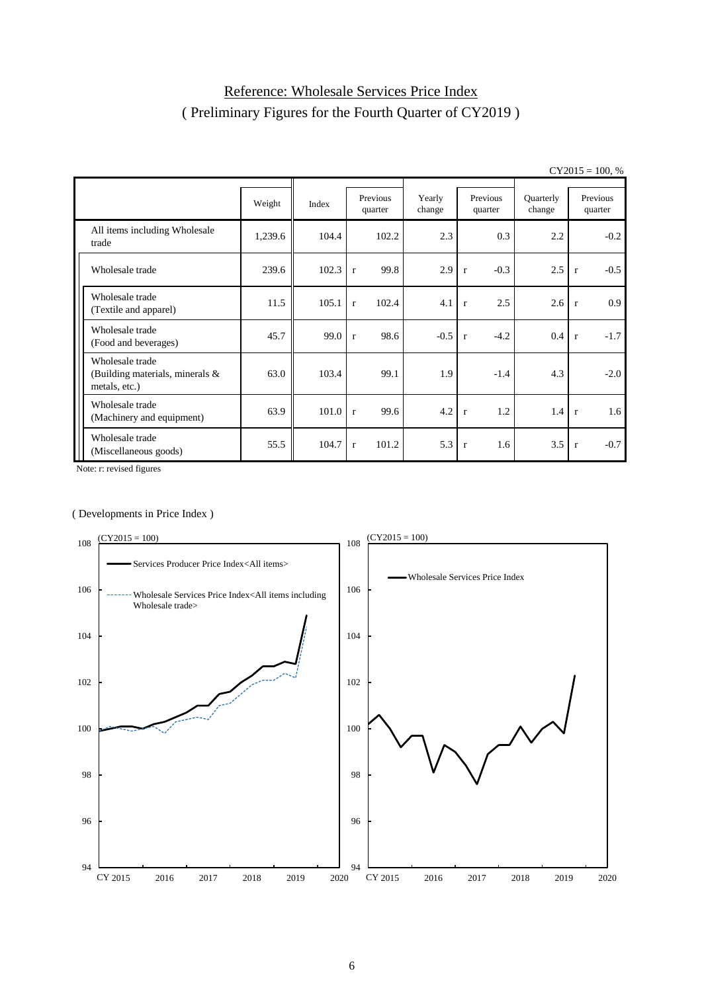# Reference: Wholesale Services Price Index ( Preliminary Figures for the Fourth Quarter of CY2019 )

|                                                                     |         |       |              |                     |                  |                        |                     | $U_{1201J} = 100, 70$  |
|---------------------------------------------------------------------|---------|-------|--------------|---------------------|------------------|------------------------|---------------------|------------------------|
|                                                                     | Weight  | Index |              | Previous<br>quarter | Yearly<br>change | Previous<br>quarter    | Quarterly<br>change | Previous<br>quarter    |
| All items including Wholesale<br>trade                              | 1,239.6 | 104.4 |              | 102.2               | 2.3              | 0.3                    | 2.2                 | $-0.2$                 |
| Wholesale trade                                                     | 239.6   | 102.3 | $\mathbf{r}$ | 99.8                | 2.9              | $-0.3$<br>$\mathbf{r}$ | 2.5                 | $-0.5$<br>$\mathbf{r}$ |
| Wholesale trade<br>(Textile and apparel)                            | 11.5    | 105.1 | $\mathbf{r}$ | 102.4               | 4.1              | 2.5<br>$\mathbf{r}$    | 2.6                 | 0.9<br>$\mathbf{r}$    |
| Wholesale trade<br>(Food and beverages)                             | 45.7    | 99.0  | $\mathbf{r}$ | 98.6                | $-0.5$           | $-4.2$<br>$\mathbf{r}$ | 0.4                 | $-1.7$<br>$\mathbf{r}$ |
| Wholesale trade<br>(Building materials, minerals &<br>metals, etc.) | 63.0    | 103.4 |              | 99.1                | 1.9              | $-1.4$                 | 4.3                 | $-2.0$                 |
| Wholesale trade<br>(Machinery and equipment)                        | 63.9    | 101.0 | r            | 99.6                | 4.2              | 1.2<br>$\mathbf{r}$    | 1.4                 | 1.6<br>$\mathbf{r}$    |
| Wholesale trade<br>(Miscellaneous goods)                            | 55.5    | 104.7 | $\mathbf{r}$ | 101.2               | 5.3              | 1.6<br>$\mathbf{r}$    | 3.5                 | $-0.7$<br>$\mathbf r$  |

 $CY2015 = 100$  %

Note: r: revised figures

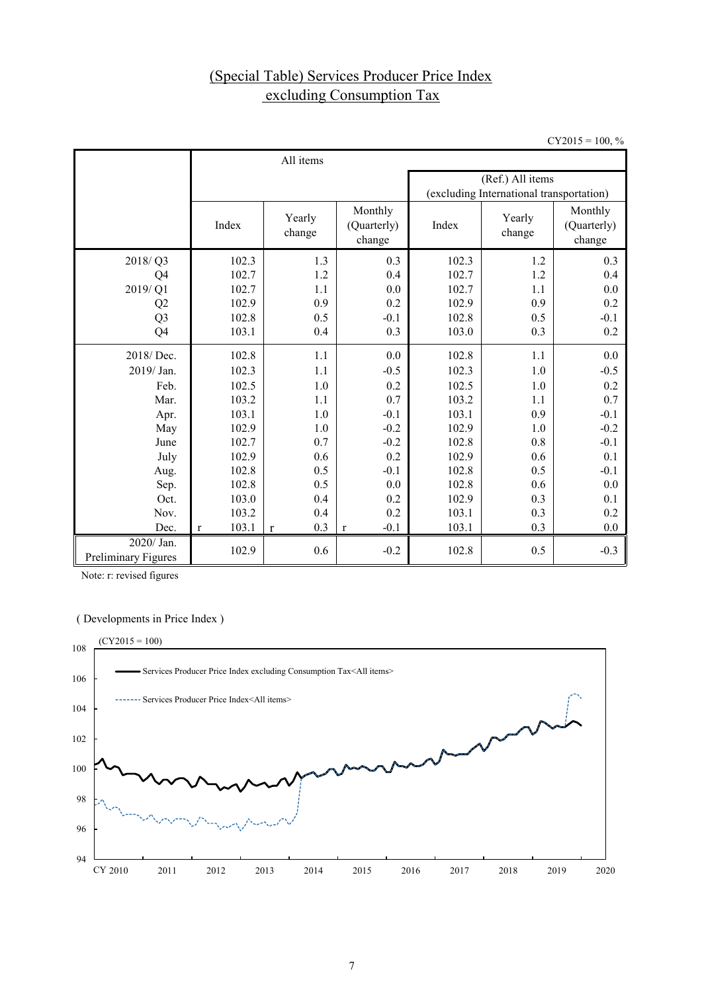# (Special Table) Services Producer Price Index excluding Consumption Tax

 $CY2015 = 100, %$ 

|                                          |                       | All items        |                                  |       |                                          |        |  |  |  |  |  |
|------------------------------------------|-----------------------|------------------|----------------------------------|-------|------------------------------------------|--------|--|--|--|--|--|
|                                          |                       |                  |                                  |       | (Ref.) All items                         |        |  |  |  |  |  |
|                                          |                       |                  |                                  |       | (excluding International transportation) |        |  |  |  |  |  |
|                                          | Index                 | Yearly<br>change | Monthly<br>(Quarterly)<br>change | Index | Yearly<br>change                         |        |  |  |  |  |  |
| 2018/Q3                                  | 102.3                 | 1.3              | 0.3                              | 102.3 | 1.2                                      | 0.3    |  |  |  |  |  |
| Q4                                       | 102.7                 | 1.2              | 0.4                              | 102.7 | 1.2                                      | 0.4    |  |  |  |  |  |
| 2019/Q1                                  | 102.7                 | 1.1              | 0.0                              | 102.7 | 1.1                                      | 0.0    |  |  |  |  |  |
| Q <sub>2</sub>                           | 102.9                 | 0.9              | 0.2                              | 102.9 | 0.9                                      | 0.2    |  |  |  |  |  |
| Q <sub>3</sub>                           | 102.8                 | 0.5              | $-0.1$                           | 102.8 | 0.5                                      | $-0.1$ |  |  |  |  |  |
| Q4                                       | 103.1                 | 0.4              | 0.3                              | 103.0 | 0.3                                      | 0.2    |  |  |  |  |  |
| 2018/Dec.                                | 102.8                 | 1.1              | 0.0                              | 102.8 | 1.1                                      | 0.0    |  |  |  |  |  |
| 2019/ Jan.                               | 102.3                 | 1.1              | $-0.5$                           | 102.3 | 1.0                                      | $-0.5$ |  |  |  |  |  |
| Feb.                                     | 102.5                 | 1.0              | 0.2                              | 102.5 | 1.0                                      | 0.2    |  |  |  |  |  |
| Mar.                                     | 103.2                 | 1.1              | 0.7                              | 103.2 | 1.1                                      | 0.7    |  |  |  |  |  |
| Apr.                                     | 103.1                 | 1.0              | $-0.1$                           | 103.1 | 0.9                                      | $-0.1$ |  |  |  |  |  |
| May                                      | 102.9                 | 1.0              | $-0.2$                           | 102.9 | 1.0                                      | $-0.2$ |  |  |  |  |  |
| June                                     | 102.7                 | 0.7              | $-0.2$                           | 102.8 | 0.8                                      | $-0.1$ |  |  |  |  |  |
| July                                     | 102.9                 | 0.6              | 0.2                              | 102.9 | 0.6                                      | 0.1    |  |  |  |  |  |
| Aug.                                     | 102.8                 | 0.5              | $-0.1$                           | 102.8 | 0.5                                      | $-0.1$ |  |  |  |  |  |
| Sep.                                     | 102.8                 | 0.5              | 0.0                              | 102.8 | 0.6                                      | 0.0    |  |  |  |  |  |
| Oct.                                     | 103.0                 | 0.4              | 0.2                              | 102.9 | 0.3                                      | 0.1    |  |  |  |  |  |
| Nov.                                     | 103.2                 | 0.4              | 0.2                              | 103.1 | 0.3                                      | 0.2    |  |  |  |  |  |
| Dec.                                     | 103.1<br>$\mathbf{r}$ | 0.3<br>r         | $-0.1$<br>$\mathbf{r}$           | 103.1 | 0.3                                      | 0.0    |  |  |  |  |  |
| 2020/ Jan.<br><b>Preliminary Figures</b> | 102.9                 | 0.6              | $-0.2$                           | 102.8 | 0.5                                      | $-0.3$ |  |  |  |  |  |

Note: r: revised figures

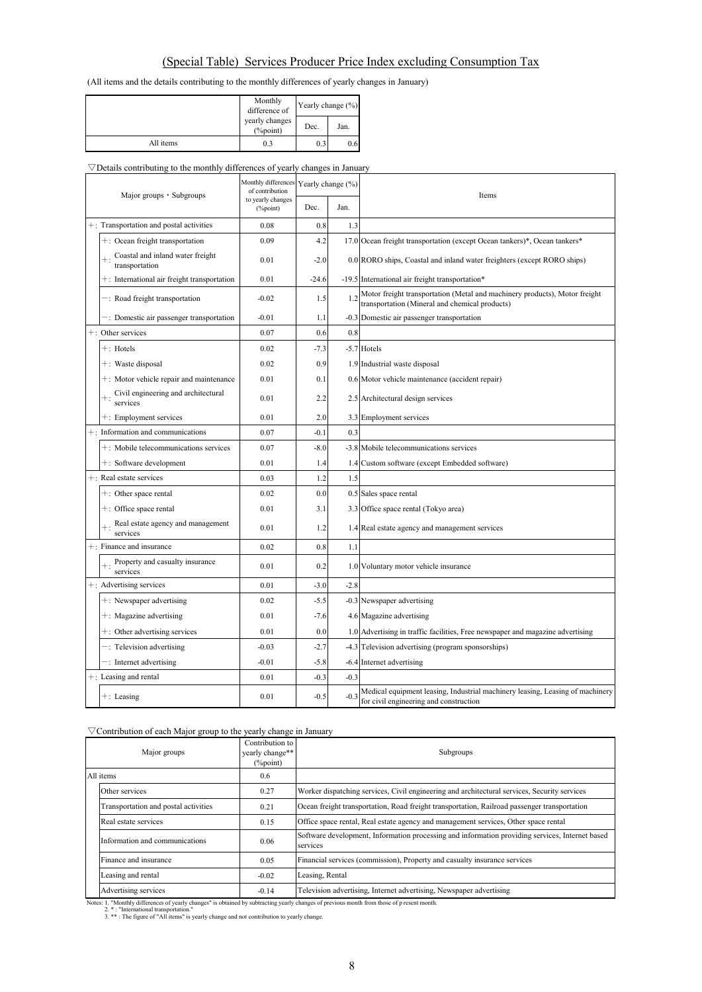### (Special Table) Services Producer Price Index excluding Consumption Tax

(All items and the details contributing to the monthly differences of yearly changes in January)

|           | Monthly<br>difference of       | Yearly change $(\% )$ |      |  |
|-----------|--------------------------------|-----------------------|------|--|
|           | yearly changes<br>$(\%$ point) | Dec.                  | Jan. |  |
| All items | 0.3                            | 0.3                   | 0.6  |  |

#### $\nabla$ Details contributing to the monthly differences of yearly changes in January

| Major groups · Subgroups |                                                      | Monthly differences<br>of contribution | Yearly change (%) |        | Items                                                                                                                        |  |  |  |  |
|--------------------------|------------------------------------------------------|----------------------------------------|-------------------|--------|------------------------------------------------------------------------------------------------------------------------------|--|--|--|--|
|                          |                                                      | to yearly changes<br>(%point)          | Dec.              | Jan.   |                                                                                                                              |  |  |  |  |
|                          | +: Transportation and postal activities              | 0.08                                   | 0.8               | 1.3    |                                                                                                                              |  |  |  |  |
|                          | +: Ocean freight transportation                      | 0.09                                   | 4.2               |        | 17.0 Ocean freight transportation (except Ocean tankers)*, Ocean tankers*                                                    |  |  |  |  |
|                          | Coastal and inland water freight<br>transportation   | 0.01                                   | $-2.0$            |        | 0.0 RORO ships, Coastal and inland water freighters (except RORO ships)                                                      |  |  |  |  |
|                          | +: International air freight transportation          | 0.01                                   | $-24.6$           |        | -19.5 International air freight transportation*                                                                              |  |  |  |  |
|                          | -: Road freight transportation                       | $-0.02$                                | 1.5<br>1.2        |        | Motor freight transportation (Metal and machinery products), Motor freight<br>transportation (Mineral and chemical products) |  |  |  |  |
|                          | -: Domestic air passenger transportation             | $-0.01$                                | 1.1               |        | -0.3 Domestic air passenger transportation                                                                                   |  |  |  |  |
|                          | +: Other services                                    | 0.07                                   | 0.6               | 0.8    |                                                                                                                              |  |  |  |  |
|                          | $+$ : Hotels                                         | 0.02                                   | $-7.3$            |        | -5.7 Hotels                                                                                                                  |  |  |  |  |
|                          | +: Waste disposal                                    | 0.02                                   | 0.9               |        | 1.9 Industrial waste disposal                                                                                                |  |  |  |  |
|                          | +: Motor vehicle repair and maintenance              | 0.01                                   | 0.1               |        | 0.6 Motor vehicle maintenance (accident repair)                                                                              |  |  |  |  |
|                          | Civil engineering and architectural<br>services      | 0.01                                   | 2.2               |        | 2.5 Architectural design services                                                                                            |  |  |  |  |
|                          | +: Employment services                               | 0.01                                   | 2.0               |        | 3.3 Employment services                                                                                                      |  |  |  |  |
|                          | $+$ : Information and communications                 | 0.07                                   | $-0.1$            | 0.3    |                                                                                                                              |  |  |  |  |
|                          | +: Mobile telecommunications services                | 0.07                                   | $-8.0$            |        | -3.8 Mobile telecommunications services                                                                                      |  |  |  |  |
|                          | +: Software development                              | 0.01                                   | 1.4               |        | 1.4 Custom software (except Embedded software)                                                                               |  |  |  |  |
|                          | $+$ : Real estate services                           | 0.03                                   | 1.2               | 1.5    |                                                                                                                              |  |  |  |  |
|                          | $+$ : Other space rental                             | 0.02                                   | 0.0               |        | 0.5 Sales space rental                                                                                                       |  |  |  |  |
|                          | $+$ : Office space rental                            | 0.01                                   | 3.1               |        | 3.3 Office space rental (Tokyo area)                                                                                         |  |  |  |  |
|                          | Real estate agency and management<br>services        | 0.01                                   | 1.2               |        | 1.4 Real estate agency and management services                                                                               |  |  |  |  |
|                          | +: Finance and insurance                             | 0.02                                   | 0.8               | 1.1    |                                                                                                                              |  |  |  |  |
|                          | Property and casualty insurance<br>$+$ :<br>services | 0.01                                   | 0.2               |        | 1.0 Voluntary motor vehicle insurance                                                                                        |  |  |  |  |
|                          | +: Advertising services                              | 0.01                                   | $-3.0$            | $-2.8$ |                                                                                                                              |  |  |  |  |
|                          | +: Newspaper advertising                             | 0.02                                   | $-5.5$            |        | -0.3 Newspaper advertising                                                                                                   |  |  |  |  |
|                          | $+$ : Magazine advertising                           | 0.01                                   | $-7.6$            |        | 4.6 Magazine advertising                                                                                                     |  |  |  |  |
|                          | $+$ : Other advertising services                     | 0.01                                   | 0.0               |        | 1.0 Advertising in traffic facilities, Free newspaper and magazine advertising                                               |  |  |  |  |
|                          | -: Television advertising                            | $-0.03$                                | $-2.7$            |        | -4.3 Television advertising (program sponsorships)                                                                           |  |  |  |  |
|                          | -: Internet advertising                              | $-0.01$                                | $-5.8$            |        | -6.4 Internet advertising                                                                                                    |  |  |  |  |
|                          | +: Leasing and rental                                | 0.01                                   | $-0.3$            | $-0.3$ |                                                                                                                              |  |  |  |  |
|                          | $+$ : Leasing                                        | 0.01                                   | $-0.5$            | $-0.3$ | Medical equipment leasing, Industrial machinery leasing, Leasing of machinery<br>for civil engineering and construction      |  |  |  |  |

### ▽Contribution of each Major group to the yearly change in January

|           | Major groups                                                                                                                                 | Contribution to<br>yearly change**<br>$(\%$ point) | Subgroups                                                                                                   |  |  |
|-----------|----------------------------------------------------------------------------------------------------------------------------------------------|----------------------------------------------------|-------------------------------------------------------------------------------------------------------------|--|--|
| All items |                                                                                                                                              | 0.6                                                |                                                                                                             |  |  |
|           | Other services<br>0.27                                                                                                                       |                                                    | Worker dispatching services, Civil engineering and architectural services, Security services                |  |  |
|           | Ocean freight transportation, Road freight transportation, Railroad passenger transportation<br>Transportation and postal activities<br>0.21 |                                                    |                                                                                                             |  |  |
|           | Real estate services                                                                                                                         | 0.15                                               | Office space rental, Real estate agency and management services, Other space rental                         |  |  |
|           | Information and communications                                                                                                               | 0.06                                               | Software development, Information processing and information providing services, Internet based<br>services |  |  |
|           | Finance and insurance                                                                                                                        | 0.05                                               | Financial services (commission), Property and casualty insurance services                                   |  |  |
|           | Leasing and rental                                                                                                                           | $-0.02$                                            | Leasing, Rental                                                                                             |  |  |
|           | Advertising services                                                                                                                         | $-0.14$                                            | Television advertising, Internet advertising, Newspaper advertising                                         |  |  |

Notes: 1. "Monthly differences of yearly changes" is obtained by subtracting yearly changes of previous month from those of p resent month.<br>2. \* : "International transportation."<br>3. \* \* : The figure of "All items" is yearl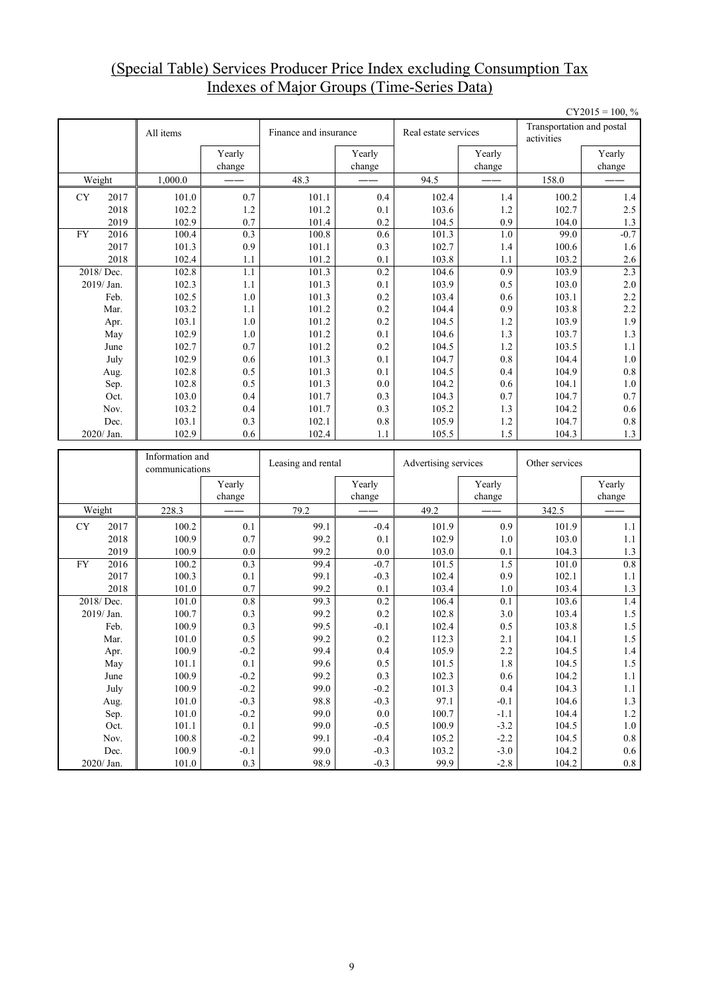### (Special Table) Services Producer Price Index excluding Consumption Tax Indexes of Major Groups (Time-Series Data)

|           |                    |                 |                         |                       |                  |                      |                  |                                         | $CY2015 = 100, %$  |  |
|-----------|--------------------|-----------------|-------------------------|-----------------------|------------------|----------------------|------------------|-----------------------------------------|--------------------|--|
|           |                    | All items       |                         | Finance and insurance |                  | Real estate services |                  | Transportation and postal<br>activities |                    |  |
|           |                    |                 | Yearly<br>change        |                       | Yearly<br>change |                      | Yearly<br>change |                                         | Yearly<br>change   |  |
|           | Weight             | 1,000.0         |                         | 48.3                  |                  | 94.5                 |                  | 158.0                                   |                    |  |
| <b>CY</b> | 2017               | 101.0           | 0.7                     | 101.1                 | 0.4              | 102.4                | 1.4              | 100.2                                   | 1.4                |  |
|           | 2018               | 102.2           | 1.2                     | 101.2                 | 0.1              | 103.6                | 1.2              | 102.7                                   | 2.5                |  |
|           | 2019               | 102.9           | 0.7                     | 101.4                 | 0.2              | 104.5                | 0.9              | 104.0                                   | $1.3$              |  |
| <b>FY</b> | 2016               | 100.4           | 0.3                     | 100.8                 | 0.6              | $101.\overline{3}$   | $\overline{1.0}$ | 99.0                                    | $-0.7$             |  |
|           | 2017               | 101.3           | 0.9                     | 101.1                 | 0.3              | 102.7                | 1.4              | 100.6                                   | 1.6                |  |
|           | 2018               | 102.4           | 1.1                     | 101.2                 | 0.1              | 103.8                | 1.1              | 103.2                                   | 2.6                |  |
|           | 2018/Dec.          | 102.8           | 1.1                     | 101.3                 | 0.2              | 104.6                | 0.9              | 103.9                                   | 2.3                |  |
|           | 2019/Jan.          | 102.3           | 1.1                     | 101.3                 | 0.1              | 103.9                | 0.5              | 103.0                                   | $2.0\,$            |  |
|           | Feb.               | 102.5           | $1.0\,$                 | 101.3                 | 0.2              | 103.4                | 0.6              | 103.1                                   | 2.2                |  |
|           | Mar.               | 103.2           | 1.1                     | 101.2                 | 0.2              | 104.4                | 0.9              | 103.8                                   | 2.2                |  |
|           | Apr.               | 103.1           | 1.0                     | 101.2                 | 0.2              | 104.5                | 1.2              | 103.9                                   | 1.9                |  |
|           | May                | 102.9           | 1.0                     | 101.2                 | 0.1              | 104.6                | 1.3              | 103.7                                   | 1.3                |  |
|           | June               | 102.7           | 0.7                     | 101.2                 | 0.2              | 104.5                | 1.2              | 103.5                                   | 1.1                |  |
|           | July               | 102.9           | 0.6                     | 101.3                 | 0.1              | 104.7                | 0.8              | 104.4                                   | $1.0\,$            |  |
|           | Aug.               | 102.8           | 0.5                     | 101.3                 | 0.1              | 104.5                | 0.4              | 104.9                                   | 0.8                |  |
|           | Sep.               | 102.8           | 0.5                     | 101.3                 | 0.0              | 104.2                | 0.6              | 104.1                                   | 1.0                |  |
|           | Oct.               | 103.0           | 0.4                     | 101.7                 | 0.3              | 104.3                | 0.7              | 104.7                                   | 0.7                |  |
|           | Nov.               | 103.2           | 0.4                     | 101.7                 | 0.3              | 105.2                | 1.3              | 104.2                                   | 0.6                |  |
|           | Dec.<br>2020/Jan.  | 103.1<br>102.9  | 0.3<br>0.6              | 102.1<br>102.4        | 0.8<br>1.1       | 105.9                | 1.2<br>1.5       | 104.7<br>104.3                          | $0.8\,$<br>1.3     |  |
|           |                    |                 |                         |                       |                  |                      |                  |                                         |                    |  |
|           |                    |                 |                         |                       |                  | 105.5                |                  |                                         |                    |  |
|           |                    | Information and |                         | Leasing and rental    |                  | Advertising services |                  | Other services                          |                    |  |
|           |                    | communications  |                         |                       |                  |                      |                  |                                         |                    |  |
|           |                    |                 | Yearly                  |                       | Yearly           |                      | Yearly           |                                         | Yearly             |  |
|           |                    |                 | change                  |                       | change           |                      | change           |                                         | change             |  |
|           | Weight             | 228.3           |                         | 79.2                  |                  | 49.2                 |                  | 342.5                                   |                    |  |
| <b>CY</b> | 2017               | 100.2           | 0.1                     | 99.1                  | $-0.4$           | 101.9                | 0.9              | 101.9                                   | 1.1                |  |
|           | 2018               | 100.9           | 0.7                     | 99.2                  | 0.1              | 102.9                | 1.0              | 103.0                                   | 1.1                |  |
|           | 2019               | 100.9           | 0.0                     | 99.2                  | 0.0              | 103.0                | 0.1              | 104.3                                   | $1.3\,$            |  |
| <b>FY</b> | 2016<br>2017       | 100.2           | $\overline{0.3}$<br>0.1 | 99.4<br>99.1          | $-0.7$<br>$-0.3$ | 101.5                | $\overline{1.5}$ | 101.0                                   | 0.8                |  |
|           | 2018               | 100.3<br>101.0  | 0.7                     | 99.2                  | 0.1              | 102.4<br>103.4       | 0.9<br>1.0       | 102.1<br>103.4                          | 1.1<br>1.3         |  |
|           | 2018/Dec.          | 101.0           | 0.8                     | 99.3                  | 0.2              | 106.4                | 0.1              | 103.6                                   | 1.4                |  |
|           | 2019/Jan.          | 100.7           | 0.3                     | 99.2                  | 0.2              | 102.8                | 3.0              | 103.4                                   | 1.5                |  |
|           | Feb.               | 100.9           | 0.3                     | 99.5                  | $-0.1$           | 102.4                | 0.5              | 103.8                                   | $1.5\,$            |  |
|           | Mar.               | 101.0           | 0.5                     | 99.2                  | 0.2              | 112.3                | 2.1              | 104.1                                   | 1.5                |  |
|           | Apr.               | 100.9           | $-0.2$                  | 99.4                  | 0.4              | 105.9                | $2.2\,$          | 104.5                                   | $1.4\,$            |  |
|           | May                | 101.1           | $0.1\,$                 | 99.6                  | 0.5              | 101.5                | $1.8\,$          | 104.5                                   | 1.5                |  |
|           | June               | 100.9           | $-0.2$                  | 99.2                  | 0.3              | 102.3                | $0.6\,$          | 104.2                                   | $1.1\,$            |  |
|           | July               | 100.9           | $-0.2$                  | 99.0                  | $-0.2$           | 101.3                | 0.4              | 104.3                                   | $1.1\,$            |  |
|           | Aug.               | 101.0           | $-0.3$                  | 98.8                  | $-0.3$           | 97.1                 | $-0.1$           | 104.6                                   | $1.3\,$            |  |
|           | Sep.               | 101.0           | $-0.2$                  | 99.0                  | $0.0\,$          | 100.7                | $-1.1$           | 104.4                                   | $1.2\,$            |  |
|           | Oct.               | 101.1           | 0.1                     | 99.0                  | $-0.5$           | 100.9                | $-3.2$           | 104.5                                   | $1.0\,$            |  |
|           | Nov.               | 100.8           | $-0.2$                  | 99.1                  | $-0.4$           | 105.2                | $-2.2$           | 104.5                                   | $\rm 0.8$          |  |
|           | Dec.<br>2020/ Jan. | 100.9<br>101.0  | $-0.1$<br>0.3           | 99.0<br>98.9          | $-0.3$<br>$-0.3$ | 103.2<br>99.9        | $-3.0$<br>$-2.8$ | 104.2<br>104.2                          | $0.6\,$<br>$0.8\,$ |  |